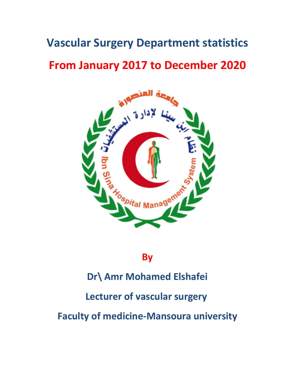# **Vascular Surgery Department statistics From January 2017 to December 2020**



### **By**

## **Dr\ Amr Mohamed Elshafei**

### **Lecturer of vascular surgery**

**Faculty of medicine-Mansoura university**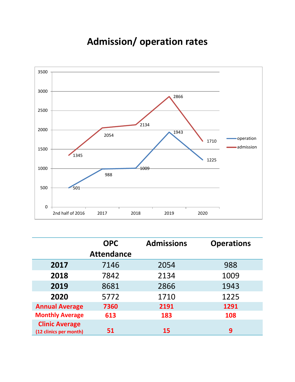## **Admission/ operation rates**



|                                                 | <b>OPC</b>        | <b>Admissions</b> | <b>Operations</b> |
|-------------------------------------------------|-------------------|-------------------|-------------------|
|                                                 | <b>Attendance</b> |                   |                   |
| 2017                                            | 7146              | 2054              | 988               |
| 2018                                            | 7842              | 2134              | 1009              |
| 2019                                            | 8681              | 2866              | 1943              |
| 2020                                            | 5772              | 1710              | 1225              |
| <b>Annual Average</b>                           | 7360              | 2191              | 1291              |
| <b>Monthly Average</b>                          | 613               | 183               | 108               |
| <b>Clinic Average</b><br>(12 clinics per month) | 51                | 15                | 9                 |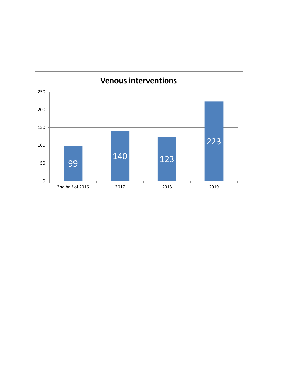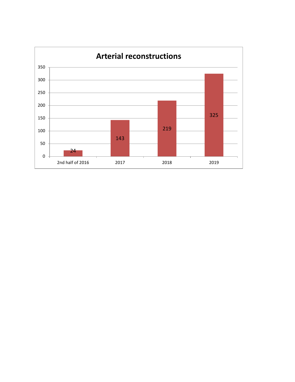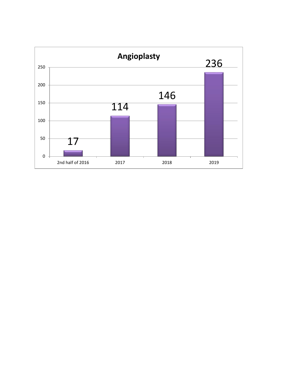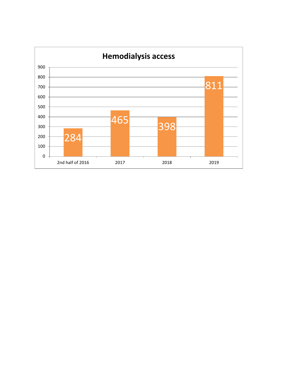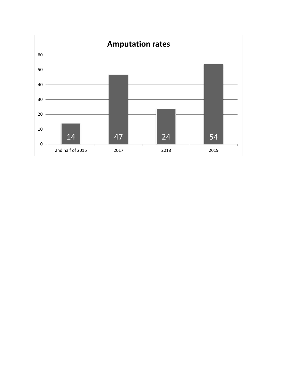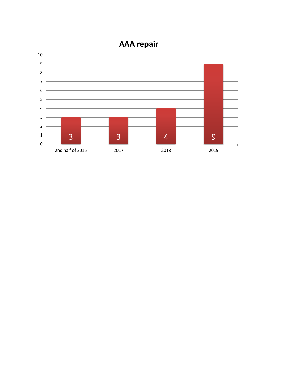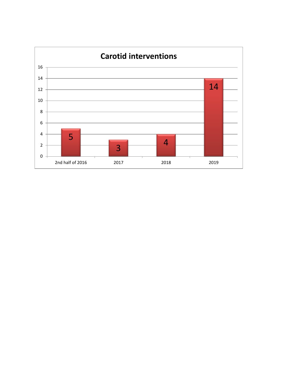